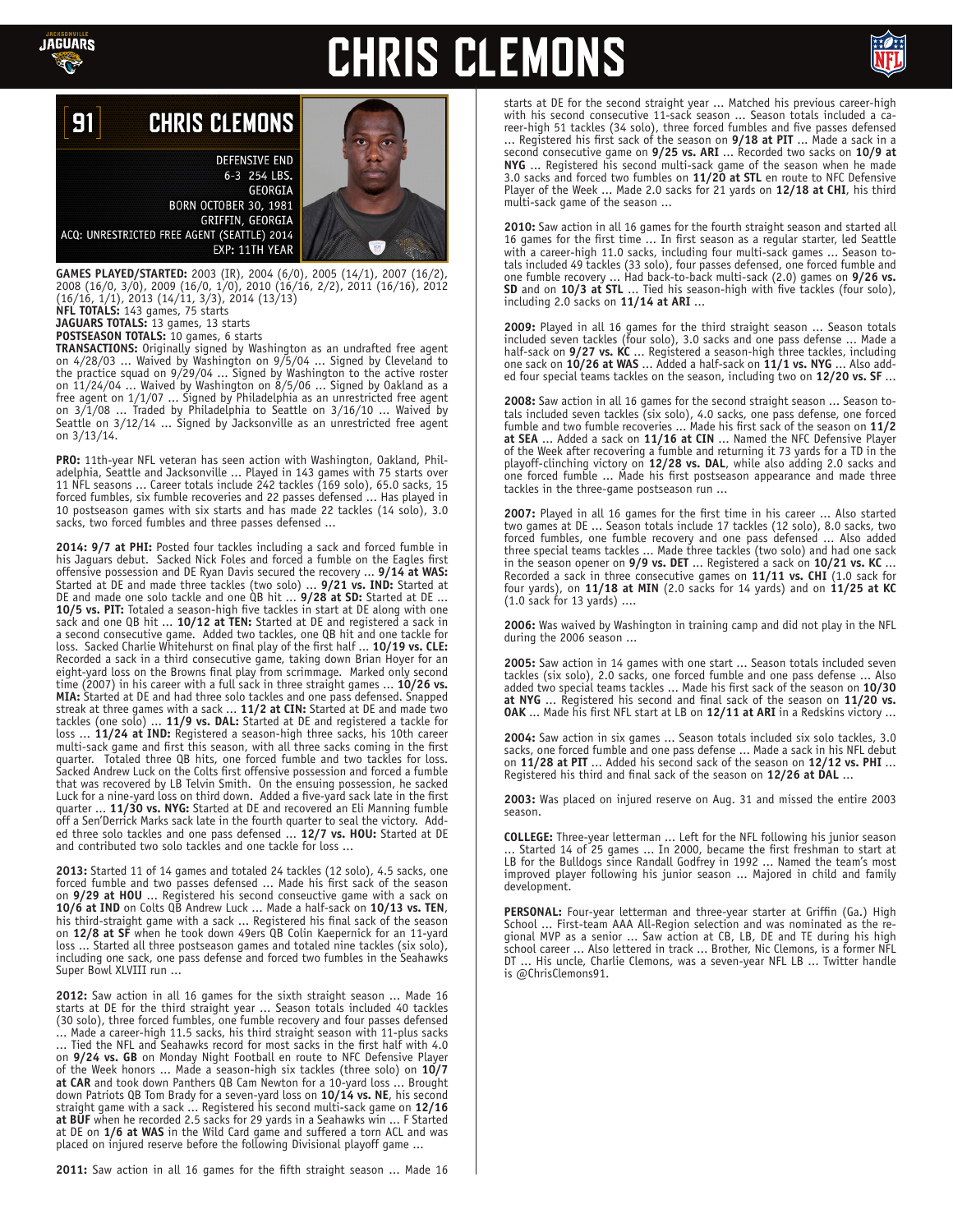

## **CHRIS CLEMONS**



#### 91 **CHRIS CLEMONS**

**DEFENSIVE END** 6-3 254 LBS. GEORGIA **BORN OCTOBER 30, 1981** GRIFFIN, GEORGIA ACQ: UNRESTRICTED FREE AGENT (SEATTLE) 2014 EXP: 11TH YEAR

**GAMES PLAYED/STARTED:** 2003 (IR), 2004 (6/0), 2005 (14/1), 2007 (16/2), 2008 (16/0, 3/0), 2009 (16/0, 1/0), 2010 (16/16, 2/2), 2011 (16/16), 2012 (16/16, 1/1), 2013 (14/11, 3/3), 2014 (13/13) **NFL TOTALS:** 143 games, 75 starts

**JAGUARS TOTALS:** 13 games, 13 starts

**POSTSEASON TOTALS:** 10 games, 6 starts

**TRANSACTIONS:** Originally signed by Washington as an undrafted free agent on 4/28/03 ... Waived by Washington on 9/5/04 ... Signed by Cleveland to the practice squad on 9/29/04 ... Signed by Washington to the active roster on  $11/24/04$   $\ldots$  Waived by Washington on  $8/5/06$   $\ldots$  Signed by Oakland as a free agent on 1/1/07 ... Signed by Philadelphia as an unrestricted free agent on 3/1/08 ... Traded by Philadelphia to Seattle on 3/16/10 ... Waived by Seattle on 3/12/14 ... Signed by Jacksonville as an unrestricted free agent on 3/13/14.

**PRO:** 11th-year NFL veteran has seen action with Washington, Oakland, Philadelphia, Seattle and Jacksonville ... Played in 143 games with 75 starts over 11 NFL seasons ... Career totals include 242 tackles (169 solo), 65.0 sacks, 15 forced fumbles, six fumble recoveries and 22 passes defensed ... Has played in 10 postseason games with six starts and has made 22 tackles (14 solo), 3.0 sacks, two forced fumbles and three passes defensed ...

**2014: 9/7 at PHI:** Posted four tackles including a sack and forced fumble in his Jaguars debut. Sacked Nick Foles and forced a fumble on the Eagles first offensive possession and DE Ryan Davis secured the recovery ... **9/14 at WAS:**  Started at DE and made three tackles (two solo) ... **9/21 vs. IND:** Started at DE and made one solo tackle and one QB hit ... **9/28 at SD:** Started at DE ... **10/5 vs. PIT:** Totaled a season-high five tackles in start at DE along with one sack and one QB hit ... **10/12 at TEN:** Started at DE and registered a sack in a second consecutive game. Added two tackles, one QB hit and one tackle for loss. Sacked Charlie Whitehurst on final play of the first half ... **10/19 vs. CLE:**  Recorded a sack in a third consecutive game, taking down Brian Hoyer for an eight-yard loss on the Browns final play from scrimmage. Marked only second time (2007) in his career with a full sack in three straight games ... **10/26 vs. MIA:** Started at DE and had three solo tackles and one pass defensed. Snapped streak at three games with a sack ... **11/2 at CIN:** Started at DE and made two tackles (one solo) ... **11/9 vs. DAL:** Started at DE and registered a tackle for loss ... **11/24 at IND:** Registered a season-high three sacks, his 10th career multi-sack game and first this season, with all three sacks coming in the first quarter. Totaled three QB hits, one forced fumble and two tackles for loss. Sacked Andrew Luck on the Colts first offensive possession and forced a fumble that was recovered by LB Telvin Smith. On the ensuing possession, he sacked Luck for a nine-yard loss on third down. Added a five-yard sack late in the first quarter ... **11/30 vs. NYG:** Started at DE and recovered an Eli Manning fumble off a Sen'Derrick Marks sack late in the fourth quarter to seal the victory. Added three solo tackles and one pass defensed ... **12/7 vs. HOU:** Started at DE and contributed two solo tackles and one tackle for loss ...

**2013:** Started 11 of 14 games and totaled 24 tackles (12 solo), 4.5 sacks, one forced fumble and two passes defensed ... Made his first sack of the season on **9/29 at HOU** ... Registered his second conseuctive game with a sack on **10/6 at IND** on Colts QB Andrew Luck ... Made a half-sack on **10/13 vs. TEN**, his third-straight game with a sack ... Registered his final sack of the season on **12/8 at SF** when he took down 49ers QB Colin Kaepernick for an 11-yard loss ... Started all three postseason games and totaled nine tackles (six solo), including one sack, one pass defense and forced two fumbles in the Seahawks Super Bowl XLVIII run ...

**2012:** Saw action in all 16 games for the sixth straight season ... Made 16 starts at DE for the third straight year ... Season totals included 40 tackles (30 solo), three forced fumbles, one fumble recovery and four passes defensed ... Made a career-high 11.5 sacks, his third straight season with 11-plus sacks ... Tied the NFL and Seahawks record for most sacks in the first half with 4.0 on **9/24 vs. GB** on Monday Night Football en route to NFC Defensive Player of the Week honors ... Made a season-high six tackles (three solo) on **10/7 at CAR** and took down Panthers QB Cam Newton for a 10-yard loss ... Brought down Patriots QB Tom Brady for a seven-yard loss on **10/14 vs. NE**, his second straight game with a sack ... Registered his second multi-sack game on **12/16 at BUF** when he recorded 2.5 sacks for 29 yards in a Seahawks win ... F Started at DE on **1/6 at WAS** in the Wild Card game and suffered a torn ACL and was placed on injured reserve before the following Divisional playoff game ...

**2011:** Saw action in all 16 games for the fifth straight season ... Made 16

starts at DE for the second straight year ... Matched his previous career-high with his second consecutive 11-sack season ... Season totals included a career-high 51 tackles (34 solo), three forced fumbles and five passes defensed ... Registered his first sack of the season on **9/18 at PIT** ... Made a sack in a second consecutive game on **9/25 vs. ARI** ... Recorded two sacks on **10/9 at NYG** ... Registered his second multi-sack game of the season when he made 3.0 sacks and forced two fumbles on **11/20 at STL** en route to NFC Defensive Player of the Week ... Made 2.0 sacks for 21 yards on **12/18 at CHI**, his third multi-sack game of the season ...

**2010:** Saw action in all 16 games for the fourth straight season and started all 16 games for the first time ... In first season as a regular starter, led Seattle with a career-high 11.0 sacks, including four multi-sack games ... Season totals included 49 tackles (33 solo), four passes defensed, one forced fumble and one fumble recovery ... Had back-to-back multi-sack (2.0) games on **9/26 vs. SD** and on **10/3 at STL** ... Tied his season-high with five tackles (four solo), including 2.0 sacks on **11/14 at ARI** ...

**2009:** Played in all 16 games for the third straight season ... Season totals included seven tackles (four solo), 3.0 sacks and one pass defense ... Made a half-sack on **9/27 vs. KC** ... Registered a season-high three tackles, including one sack on **10/26 at WAS** ... Added a half-sack on **11/1 vs. NYG** ... Also added four special teams tackles on the season, including two on **12/20 vs. SF** ...

**2008:** Saw action in all 16 games for the second straight season ... Season totals included seven tackles (six solo), 4.0 sacks, one pass defense, one forced fumble and two fumble recoveries ... Made his first sack of the season on **11/2 at SEA** ... Added a sack on **11/16 at CIN** ... Named the NFC Defensive Player of the Week after recovering a fumble and returning it 73 yards for a TD in the playoff-clinching victory on **12/28 vs. DAL**, while also adding 2.0 sacks and one forced fumble ... Made his first postseason appearance and made three tackles in the three-game postseason run ...

**2007:** Played in all 16 games for the first time in his career ... Also started two games at DE ... Season totals include 17 tackles (12 solo), 8.0 sacks, two forced fumbles, one fumble recovery and one pass defensed ... Also added three special teams tackles ... Made three tackles (two solo) and had one sack in the season opener on **9/9 vs. DET** ... Registered a sack on **10/21 vs. KC** ... Recorded a sack in three consecutive games on **11/11 vs. CHI** (1.0 sack for four yards), on **11/18 at MIN** (2.0 sacks for 14 yards) and on **11/25 at KC** (1.0 sack for 13 yards) ....

**2006:** Was waived by Washington in training camp and did not play in the NFL during the 2006 season ...

**2005:** Saw action in 14 games with one start ... Season totals included seven tackles (six solo), 2.0 sacks, one forced fumble and one pass defense ... Also added two special teams tackles ... Made his first sack of the season on **10/30 at NYG** ... Registered his second and final sack of the season on **11/20 vs. OAK** ... Made his first NFL start at LB on **12/11 at ARI** in a Redskins victory ...

**2004:** Saw action in six games ... Season totals included six solo tackles, 3.0 sacks, one forced fumble and one pass defense ... Made a sack in his NFL debut on **11/28 at PIT** ... Added his second sack of the season on **12/12 vs. PHI** ... Registered his third and final sack of the season on **12/26 at DAL** ...

**2003:** Was placed on injured reserve on Aug. 31 and missed the entire 2003 season.

**COLLEGE:** Three-year letterman ... Left for the NFL following his junior season ... Started 14 of 25 games ... In 2000, became the first freshman to start at LB for the Bulldogs since Randall Godfrey in 1992 ... Named the team's most improved player following his junior season ... Majored in child and family development.

**PERSONAL:** Four-year letterman and three-year starter at Griffin (Ga.) High School ... First-team AAA All-Region selection and was nominated as the regional MVP as a senior ... Saw action at CB, LB, DE and TE during his high school career ... Also lettered in track ... Brother, Nic Clemons, is a former NFL DT ... His uncle, Charlie Clemons, was a seven-year NFL LB ... Twitter handle is @ChrisClemons91.